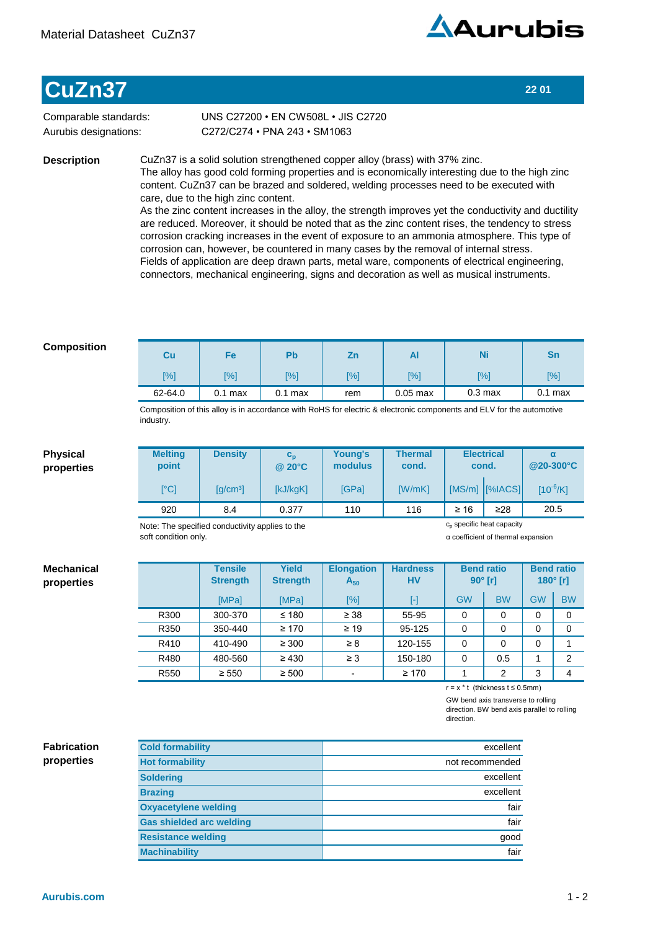

## **CuZn37 22 01**

Comparable standards: Aurubis designations:

C272/C274•PNA243•SM1063 UNS C27200 · EN CW508L · JIS C2720

**Description**

CuZn37 is a solid solution strengthened copper alloy (brass) with 37% zinc. The alloy has good cold forming properties and is economically interesting due to the high zinc content. CuZn37 can be brazed and soldered, welding processes need to be executed with care, due to the high zinc content.

As the zinc content increases in the alloy, the strength improves yet the conductivity and ductility are reduced. Moreover, it should be noted that as the zinc content rises, the tendency to stress corrosion cracking increases in the event of exposure to an ammonia atmosphere. This type of corrosion can, however, be countered in many cases by the removal of internal stress. Fields of application are deep drawn parts, metal ware, components of electrical engineering, connectors, mechanical engineering, signs and decoration as well as musical instruments.

## **Composition**

| Cu      | Fe        | Pb        | Zn     | Al         | Ni                 | Sn         |
|---------|-----------|-----------|--------|------------|--------------------|------------|
| [%]     | [%]       | [%]       | $[\%]$ | [%]        | [%]                | $\sqrt{8}$ |
| 62-64.0 | $0.1$ max | $0.1$ max | rem    | $0.05$ max | 0.3 <sub>max</sub> | $0.1$ max  |

Composition of this alloy is in accordance with RoHS for electric & electronic components and ELV for the automotive industry.

## **Physical properties**

**Mechanical properties**

| <b>Melting</b><br>point                         | <b>Density</b>         | $\mathbf{c}_{\mathbf{n}}$<br>@ 20°C | Young's<br>modulus | <b>Thermal</b><br>cond. | <b>Electrical</b><br>cond. |                                       | @20-300°C     |  |
|-------------------------------------------------|------------------------|-------------------------------------|--------------------|-------------------------|----------------------------|---------------------------------------|---------------|--|
| $\lceil$ °Cl                                    | $\lceil q/cm^3 \rceil$ | [kJ/kgK]                            | <b>IGPal</b>       | [W/mK]                  |                            | $[MS/m]$ $[%[ACS]$                    | $[10^{-6}/K]$ |  |
| 920                                             | 8.4                    | 0.377                               | 110                | 116                     | $\geq 16$                  | $\geq$ 28                             | 20.5          |  |
| lota: The enecified conductivity annlies to the |                        |                                     |                    |                         |                            | c <sub>n</sub> specific heat capacity |               |  |

Note: The specified conductivity applies to the soft condition only.

α coefficient of thermal expansion

|                  | <b>Tensile</b><br><b>Strength</b> | <b>Yield</b><br><b>Strength</b> | <b>Elongation</b><br>$A_{50}$ | <b>Hardness</b><br><b>HV</b> | $90^\circ$ [r] | <b>Bend ratio</b> |           | <b>Bend ratio</b><br>180 $^{\circ}$ [r] |
|------------------|-----------------------------------|---------------------------------|-------------------------------|------------------------------|----------------|-------------------|-----------|-----------------------------------------|
|                  | [MPa]                             | [MPa]                           | [%]                           | ŀ1                           | <b>GW</b>      | <b>BW</b>         | <b>GW</b> | <b>BW</b>                               |
| R300             | 300-370                           | $≤ 180$                         | $\geq 38$                     | 55-95                        | 0              | 0                 | 0         | 0                                       |
| R350             | 350-440                           | $\geq 170$                      | $\geq 19$                     | 95-125                       | 0              | 0                 | 0         | 0                                       |
| R410             | 410-490                           | $\geq 300$                      | $\geq 8$                      | 120-155                      | 0              | 0                 | 0         |                                         |
| R480             | 480-560                           | $\geq 430$                      | $\geq 3$                      | 150-180                      | 0              | 0.5               |           | 2                                       |
| R <sub>550</sub> | $\geq 550$                        | $\geq 500$                      |                               | $\geq 170$                   |                | 2                 | 3         |                                         |

r=x\*t(thicknesst≤0.5mm)

GW bend axis transverse to rolling direction. BW bend axis parallel to rolling

direction.

## **properties**

| <b>Fabrication</b><br>properties | <b>Cold formability</b>         | excellent       |  |  |
|----------------------------------|---------------------------------|-----------------|--|--|
|                                  | <b>Hot formability</b>          | not recommended |  |  |
|                                  | <b>Soldering</b>                | excellent       |  |  |
|                                  | <b>Brazing</b>                  | excellent       |  |  |
|                                  | <b>Oxyacetylene welding</b>     | fair            |  |  |
|                                  | <b>Gas shielded arc welding</b> | fair            |  |  |
|                                  | <b>Resistance welding</b>       | qood            |  |  |
|                                  | <b>Machinability</b>            | fair            |  |  |